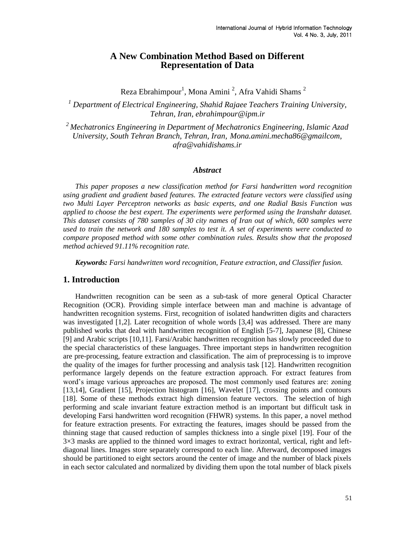## **A New Combination Method Based on Different Representation of Data**

Reza Ebrahimpour<sup>1</sup>, Mona Amini<sup>2</sup>, Afra Vahidi Shams<sup>2</sup>

*<sup>1</sup> Department of Electrical Engineering, Shahid Rajaee Teachers Training University, Tehran, Iran, [ebrahimpour@ipm.ir](http://us.mc456.mail.yahoo.com/mc/ebrahimpour@ipm.ir)*

*<sup>2</sup>Mechatronics Engineering in Department of Mechatronics Engineering, Islamic Azad University, South Tehran Branch, Tehran, Iran, [Mona.amini.mecha86@gmailcom,](mailto:Mona.amini.mecha86@gmailcom) [afra@vahidishams.ir](mailto:afra@vahidishams.ir)*

#### *Abstract*

*This paper proposes a new classification method for Farsi handwritten word recognition using gradient and gradient based features. The extracted feature vectors were classified using two Multi Layer Perceptron networks as basic experts, and one Radial Basis Function was applied to choose the best expert. The experiments were performed using the Iranshahr dataset. This dataset consists of 780 samples of 30 city names of Iran out of which, 600 samples were used to train the network and 180 samples to test it. A set of experiments were conducted to compare proposed method with some other combination rules. Results show that the proposed method achieved 91.11% recognition rate.* 

*Keywords: Farsi handwritten word recognition, Feature extraction, and Classifier fusion.*

## **1. Introduction**

Handwritten recognition can be seen as a sub-task of more general Optical Character Recognition (OCR). Providing simple interface between man and machine is advantage of handwritten recognition systems. First, recognition of isolated handwritten digits and characters was investigated [1,2]. Later recognition of whole words [3,4] was addressed. There are many published works that deal with handwritten recognition of English [5-7], Japanese [8], Chinese [9] and Arabic scripts [10,11]. Farsi/Arabic handwritten recognition has slowly proceeded due to the special characteristics of these languages. Three important steps in handwritten recognition are pre-processing, feature extraction and classification. The aim of preprocessing is to improve the quality of the images for further processing and analysis task [12]. Handwritten recognition performance largely depends on the feature extraction approach. For extract features from word"s image various approaches are proposed. The most commonly used features are: zoning [13,14], Gradient [15], Projection histogram [16], Wavelet [17], crossing points and contours [18]. Some of these methods extract high dimension feature vectors. The selection of high performing and scale invariant feature extraction method is an important but difficult task in developing Farsi handwritten word recognition (FHWR) systems. In this paper, a novel method for feature extraction presents. For extracting the features, images should be passed from the thinning stage that caused reduction of samples thickness into a single pixel [19]. Four of the  $3\times3$  masks are applied to the thinned word images to extract horizontal, vertical, right and leftdiagonal lines. Images store separately correspond to each line. Afterward, decomposed images should be partitioned to eight sectors around the center of image and the number of black pixels in each sector calculated and normalized by dividing them upon the total number of black pixels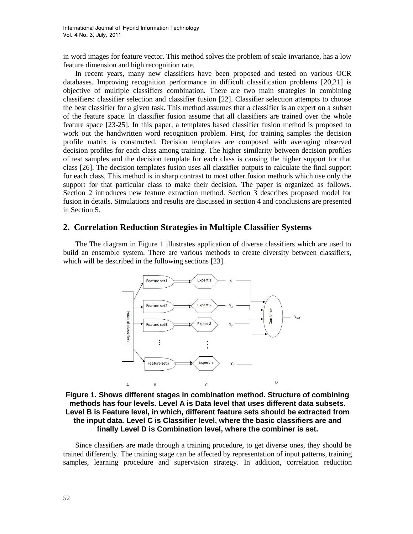in word images for feature vector. This method solves the problem of scale invariance, has a low feature dimension and high recognition rate.

In recent years, many new classifiers have been proposed and tested on various OCR databases. Improving recognition performance in difficult classification problems [20,21] is objective of multiple classifiers combination. There are two main strategies in combining classifiers: classifier selection and classifier fusion [22]. Classifier selection attempts to choose the best classifier for a given task. This method assumes that a classifier is an expert on a subset of the feature space. In classifier fusion assume that all classifiers are trained over the whole feature space [23-25]. In this paper, a templates based classifier fusion method is proposed to work out the handwritten word recognition problem. First, for training samples the decision profile matrix is constructed. Decision templates are composed with averaging observed decision profiles for each class among training. The higher similarity between decision profiles of test samples and the decision template for each class is causing the higher support for that class [26]. The decision templates fusion uses all classifier outputs to calculate the final support for each class. This method is in sharp contrast to most other fusion methods which use only the support for that particular class to make their decision. The paper is organized as follows. Section 2 introduces new feature extraction method. Section 3 describes proposed model for fusion in details. Simulations and results are discussed in section 4 and conclusions are presented in Section 5.

## **2. Correlation Reduction Strategies in Multiple Classifier Systems**

The The diagram in Figure 1 illustrates application of diverse classifiers which are used to build an ensemble system. There are various methods to create diversity between classifiers, which will be described in the following sections [23].



**Figure 1. Shows different stages in combination method. Structure of combining methods has four levels. Level A is Data level that uses different data subsets. Level B is Feature level, in which, different feature sets should be extracted from the input data. Level C is Classifier level, where the basic classifiers are and finally Level D is Combination level, where the combiner is set.**

Since classifiers are made through a training procedure, to get diverse ones, they should be trained differently. The training stage can be affected by representation of input patterns, training samples, learning procedure and supervision strategy. In addition, correlation reduction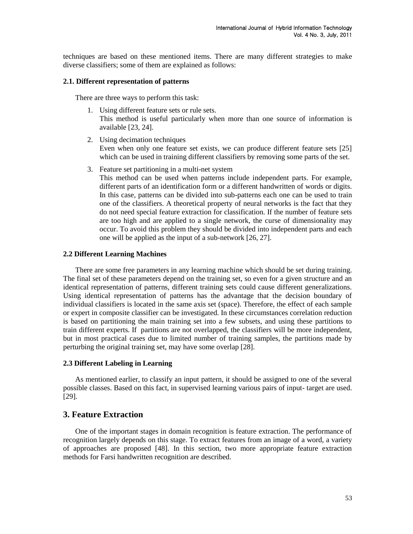techniques are based on these mentioned items. There are many different strategies to make diverse classifiers; some of them are explained as follows:

### **2.1. Different representation of patterns**

There are three ways to perform this task:

- 1. Using different feature sets or rule sets. This method is useful particularly when more than one source of information is available [23, 24].
- 2. Using decimation techniques Even when only one feature set exists, we can produce different feature sets [25] which can be used in training different classifiers by removing some parts of the set.
- 3. Feature set partitioning in a multi-net system

This method can be used when patterns include independent parts. For example, different parts of an identification form or a different handwritten of words or digits. In this case, patterns can be divided into sub-patterns each one can be used to train one of the classifiers. A theoretical property of neural networks is the fact that they do not need special feature extraction for classification. If the number of feature sets are too high and are applied to a single network, the curse of dimensionality may occur. To avoid this problem they should be divided into independent parts and each one will be applied as the input of a sub-network [26, 27].

#### **2.2 Different Learning Machines**

There are some free parameters in any learning machine which should be set during training. The final set of these parameters depend on the training set, so even for a given structure and an identical representation of patterns, different training sets could cause different generalizations. Using identical representation of patterns has the advantage that the decision boundary of individual classifiers is located in the same axis set (space). Therefore, the effect of each sample or expert in composite classifier can be investigated. In these circumstances correlation reduction is based on partitioning the main training set into a few subsets, and using these partitions to train different experts. If partitions are not overlapped, the classifiers will be more independent, but in most practical cases due to limited number of training samples, the partitions made by perturbing the original training set, may have some overlap [28].

#### **2.3 Different Labeling in Learning**

As mentioned earlier, to classify an input pattern, it should be assigned to one of the several possible classes. Based on this fact, in supervised learning various pairs of input- target are used. [29].

## **3. Feature Extraction**

One of the important stages in domain recognition is feature extraction. The performance of recognition largely depends on this stage. To extract features from an image of a word, a variety of approaches are proposed [48]. In this section, two more appropriate feature extraction methods for Farsi handwritten recognition are described.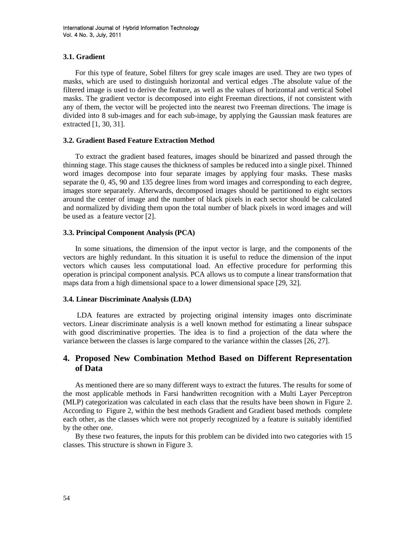#### **3.1. Gradient**

For this type of feature, Sobel filters for grey scale images are used. They are two types of masks, which are used to distinguish horizontal and vertical edges .The absolute value of the filtered image is used to derive the feature, as well as the values of horizontal and vertical Sobel masks. The gradient vector is decomposed into eight Freeman directions, if not consistent with any of them, the vector will be projected into the nearest two Freeman directions. The image is divided into 8 sub-images and for each sub-image, by applying the Gaussian mask features are extracted [1, 30, 31].

#### **3.2. Gradient Based Feature Extraction Method**

To extract the gradient based features, images should be binarized and passed through the thinning stage. This stage causes the thickness of samples be reduced into a single pixel. Thinned word images decompose into four separate images by applying four masks. These masks separate the 0, 45, 90 and 135 degree lines from word images and corresponding to each degree, images store separately. Afterwards, decomposed images should be partitioned to eight sectors around the center of image and the number of black pixels in each sector should be calculated and normalized by dividing them upon the total number of black pixels in word images and will be used as a feature vector [2].

#### **3.3. Principal Component Analysis (PCA)**

In some situations, the dimension of the input vector is large, and the components of the vectors are highly redundant. In this situation it is useful to reduce the dimension of the input vectors which causes less computational load. An effective procedure for performing this operation is principal component analysis. PCA allows us to compute a linear transformation that maps data from a high dimensional space to a lower dimensional space [29, 32].

#### **3.4. Linear Discriminate Analysis (LDA)**

LDA features are extracted by projecting original intensity images onto discriminate vectors. Linear discriminate analysis is a well known method for estimating a linear subspace with good discriminative properties. The idea is to find a projection of the data where the variance between the classes is large compared to the variance within the classes [26, 27].

## **4. Proposed New Combination Method Based on Different Representation of Data**

As mentioned there are so many different ways to extract the futures. The results for some of the most applicable methods in Farsi handwritten recognition with a Multi Layer Perceptron (MLP) categorization was calculated in each class that the results have been shown in Figure 2. According to Figure 2, within the best methods Gradient and Gradient based methods complete each other, as the classes which were not properly recognized by a feature is suitably identified by the other one.

By these two features, the inputs for this problem can be divided into two categories with 15 classes. This structure is shown in Figure 3.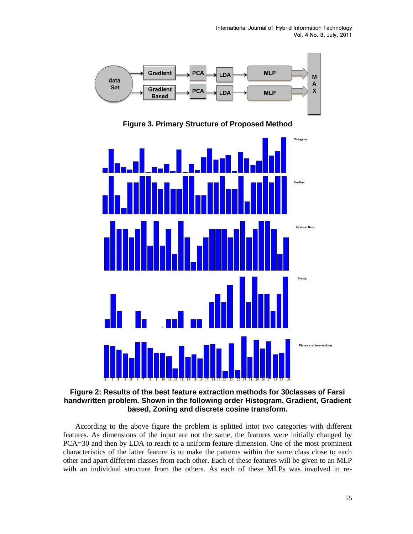

**Figure 3. Primary Structure of Proposed Method** 



#### **Figure 2: Results of the best feature extraction methods for 30classes of Farsi handwritten problem. Shown in the following order Histogram, Gradient, Gradient based, Zoning and discrete cosine transform.**

According to the above figure the problem is splitted intot two categories with different features. As dimensions of the input are not the same, the features were initially changed by PCA=30 and then by LDA to reach to a uniform feature dimension. One of the most prominent characteristics of the latter feature is to make the patterns within the same class close to each other and apart different classes from each other. Each of these features will be given to an MLP with an individual structure from the others. As each of these MLPs was involved in re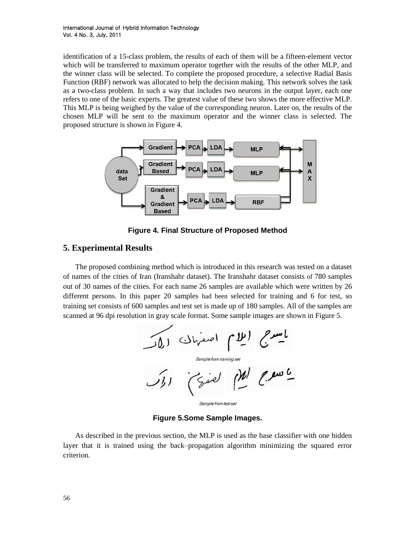identification of a 15-class problem, the results of each of them will be a fifteen-element vector which will be transferred to maximum operator together with the results of the other MLP, and the winner class will be selected. To complete the proposed procedure, a selective Radial Basis Function (RBF) network was allocated to help the decision making. This network solves the task as a two-class problem. In such a way that includes two neurons in the output layer, each one refers to one of the basic experts. The greatest value of these two shows the more effective MLP. This MLP is being weighed by the value of the corresponding neuron. Later on, the results of the chosen MLP will be sent to the maximum operator and the winner class is selected. The proposed structure is shown in Figure 4.



**Figure 4. Final Structure of Proposed Method** 

# **5. Experimental Results**

The proposed combining method which is introduced in this research was tested on a dataset of names of the cities of Iran (Iranshahr dataset). The Iranshahr dataset consists of 780 samples out of 30 names of the cities. For each name 26 samples are available which were written by 26 different persons. In this paper 20 samples had been selected for training and 6 for test, so training set consists of 600 samples and test set is made up of 180 samples. All of the samples are



Sample from test set

**Figure 5.Some Sample Images.**

As described in the previous section, the MLP is used as the base classifier with one hidden layer that it is trained using the back–propagation algorithm minimizing the squared error criterion.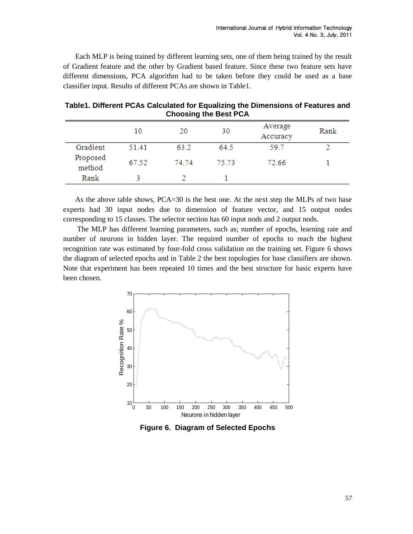Each MLP is being trained by different learning sets, one of them being trained by the result of Gradient feature and the other by Gradient based feature. Since these two feature sets have different dimensions, PCA algorithm had to be taken before they could be used as a base classifier input. Results of different PCAs are shown in Table1.

|                    | 10    | . .<br>20 | 30    | Average<br>Accuracy | Rank |
|--------------------|-------|-----------|-------|---------------------|------|
| Gradient           | 51.41 | 63.2      | 64.5  | 59.7                |      |
| Proposed<br>method | 67.52 | 74 74     | 75.73 | 72.66               |      |
| Rank               |       |           |       |                     |      |

**Table1. Different PCAs Calculated for Equalizing the Dimensions of Features and Choosing the Best PCA**

As the above table shows, PCA=30 is the best one. At the next step the MLPs of two base experts had 30 input nodes due to dimension of feature vector, and 15 output nodes corresponding to 15 classes. The selector section has 60 input nods and 2 output nods.

The MLP has different learning parameters, such as; number of epochs, learning rate and number of neurons in hidden layer. The required number of epochs to reach the highest recognition rate was estimated by four-fold cross validation on the training set. Figure 6 shows the diagram of selected epochs and in Table 2 the best topologies for base classifiers are shown. Note that experiment has been repeated 10 times and the best structure for basic experts have been chosen.



**Figure 6. Diagram of Selected Epochs**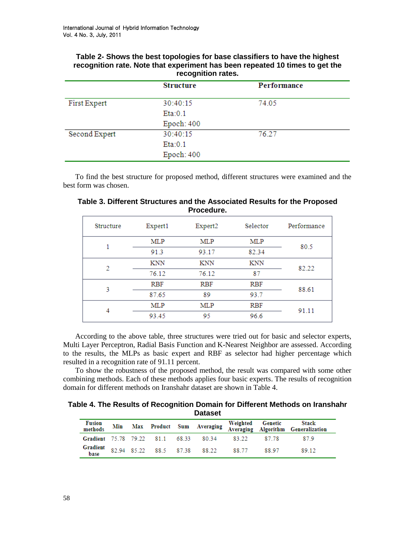### **Table 2- Shows the best topologies for base classifiers to have the highest recognition rate. Note that experiment has been repeated 10 times to get the recognition rates.**

|               | <b>Structure</b> | Performance |
|---------------|------------------|-------------|
| First Expert  | 30:40:15         | 74.05       |
|               | Eta:0.1          |             |
|               | Epoch: 400       |             |
| Second Expert | 30:40:15         | 76.27       |
|               | Eta:0.1          |             |
|               | Epoch: 400       |             |

To find the best structure for proposed method, different structures were examined and the best form was chosen.

| Structure | Expert1    | Expert2    | Selector   | Performance |
|-----------|------------|------------|------------|-------------|
|           | <b>MLP</b> | <b>MLP</b> | <b>MLP</b> | 80.5        |
|           | 91.3       | 93.17      | 82.34      |             |
| 2         | KNN        | <b>KNN</b> | <b>KNN</b> | 82.22       |
|           | 76.12      | 76.12      | 87         |             |
| 3         | <b>RBF</b> | <b>RBF</b> | <b>RBF</b> | 88.61       |
|           | 87.65      | 89         | 93.7       |             |
| 4         | <b>MLP</b> | <b>MLP</b> | <b>RBF</b> | 91.11       |
|           | 93.45      | 95         | 96.6       |             |

**Table 3. Different Structures and the Associated Results for the Proposed Procedure.**

According to the above table, three structures were tried out for basic and selector experts, Multi Layer Perceptron, Radial Basis Function and K-Nearest Neighbor are assessed. According to the results, the MLPs as basic expert and RBF as selector had higher percentage which resulted in a recognition rate of 91.11 percent.

To show the robustness of the proposed method, the result was compared with some other combining methods. Each of these methods applies four basic experts. The results of recognition domain for different methods on Iranshahr dataset are shown in Table 4.

**Table 4. The Results of Recognition Domain for Different Methods on Iranshahr Dataset**

| Fusion<br>methods                            |  |  |       |        | Min Max Product Sum Averaging Weighted Genetic Stack<br>Averaging Algorithm Generalization |
|----------------------------------------------|--|--|-------|--------|--------------------------------------------------------------------------------------------|
| Gradient 75.78 79.22 81.1 68.33 80.34        |  |  | 83.22 | 87.78  | 879                                                                                        |
| <b>Gradient</b> 82.94 85.22 88.5 87.38 88.22 |  |  | 88.77 | -88.97 | 89.12                                                                                      |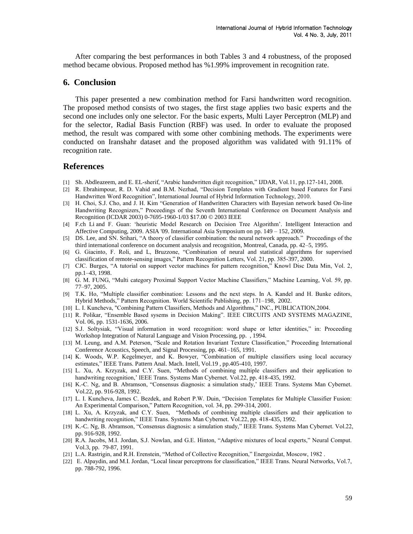After comparing the best performances in both Tables 3 and 4 robustness, of the proposed method became obvious. Proposed method has %1.99% improvement in recognition rate.

#### **6. Conclusion**

This paper presented a new combination method for Farsi handwritten word recognition. The proposed method consists of two stages, the first stage applies two basic experts and the second one includes only one selector. For the basic experts, Multi Layer Perceptron (MLP) and for the selector, Radial Basis Function (RBF) was used. In order to evaluate the proposed method, the result was compared with some other combining methods. The experiments were conducted on Iranshahr dataset and the proposed algorithm was validated with 91.11% of recognition rate.

## **References**

- [1] Sh. Abdleazeem, and E. EL-sherif, "Arabic handwritten digit recognition," IJDAR, Vol.11, pp.127-141, 2008.
- [2] R. Ebrahimpour, R. D. Vahid and B.M. Nezhad, "Decision Templates with Gradient based Features for Farsi Handwritten Word Recognition", International Journal of Hybrid Information Technology, 2010.
- [3] H. Choi, S.J. Cho, and J. H. Kim "Generation of Handwritten Characters with Bayesian network based On-line Handwriting Recognizers," Proceedings of the Seventh International Conference on Document Analysis and Recognition (ICDAR 2003) 0-7695-1960-1/03 \$17.00 © 2003 IEEE
- [4] F.ch Li and F. Guan: "heuristic Model Research on Decision Tree Algorithm". [Intelligent Interaction and](http://ieeexplore.ieee.org/xpl/mostRecentIssue.jsp?punumber=5375732)  [Affective Computing, 2009. ASIA '09. International Asia Symposium on](http://ieeexplore.ieee.org/xpl/mostRecentIssue.jsp?punumber=5375732) pp. 149 – 152, 2009.
- [5] DS. Lee, and SN. Srihari, "A theory of classifier combination: the neural network approach." Proceedings of the third international conference on document analysis and recognition, Montreal, Canada, pp. 42–5, 1995.
- [6] G. Giacinto, F. Roli, and L, Bruzzone, "Combination of neural and statistical algorithms for supervised classification of remote-sensing images," Pattern Recognition Letters, Vol. 21, pp. 385-397, 2000.
- [7] CJC. Burges, "A tutorial on support vector machines for pattern recognition," Knowl Disc Data Min, Vol. 2, pp.1–43, 1998.
- [8] G. M. FUNG, "Multi category Proximal Support Vector Machine Classifiers," Machine Learning, Vol. 59, pp. 77–97, 2005.
- [9] T.K. Ho, "Multiple classifier combination: Lessons and the next steps. In A. Kandel and H. Bunke editors, Hybrid Methods," Pattern Recognition. World Scientific Publishing, pp. 171–198, 2002.
- [10] L. I. Kuncheva, "Combining Pattern Classifiers, Methods and Algorithms," INC., PUBLICATION,2004.
- [11] R. Polikar, "Ensemble Based sysems in Decision Making". IEEE CIRCUITS AND SYSTEMS MAGAZINE, Vol. 06, pp. 1531-1636, 2006.
- [12] S.J. Soltysiak, "Visual information in word recognition: word shape or letter identities," in: Proceeding Workshop Integration of Natural Language and Vision Processing, pp. , 1994.
- [13] M. Leung, and A.M. Peterson, "Scale and Rotation Invariant Texture Classification," Proceeding International Conference Acoustics, Speech, and Signal Processing, pp. 461–165, 1991.
- [14] K. Woods, W.P. Kegelmeyer, and K. Bowyer, "Combination of multiple classifiers using local accuracy estimates," IEEE Trans. Pattern Anal. Mach. Intell, Vol.19 , pp.405-410, 1997.
- [15] L. Xu, A. Krzyzak, and C.Y. Suen, "Methods of combining multiple classifiers and their application to handwriting recognition,' IEEE Trans. Systems Man Cybernet. Vol.22, pp. 418-435, 1992.
- [16] K.-C. Ng, and B. Abramson, "Consensus diagnosis: a simulation study,' IEEE Trans. Systems Man Cybernet. Vol.22, pp. 916-928, 1992.
- [17] L. I. Kuncheva, James C. Bezdek, and Robert P.W. Duin, "Decision Templates for Multiple Classifier Fusion: An Experimental Comparison," Pattern Recognition, vol. 34, pp. 299-314, 2001.
- [18] L. Xu, A. Krzyzak, and C.Y. Suen, "Methods of combining multiple classifiers and their application to handwriting recognition," IEEE Trans. Systems Man Cybernet. Vol.22, pp. 418-435, 1992.
- [19] K.-C. Ng, B. Abramson, "Consensus diagnosis: a simulation study," IEEE Trans. Systems Man Cybernet. Vol.22, pp. 916-928, 1992.
- [20] R.A. Jacobs, M.I. Jordan, S.J. Nowlan, and G.E. Hinton, "Adaptive mixtures of local experts," Neural Comput. Vol.3, pp. 79-87, 1991.
- [21] L.A. Rastrigin, and R.H. Erenstein, "Method of Collective Recognition," Energoizdat, Moscow, 1982 .
- [22] E. Alpaydin, and M.I. Jordan, "Local linear perceptrons for classification," IEEE Trans. Neural Networks, Vol.7, pp. 788-792, 1996.